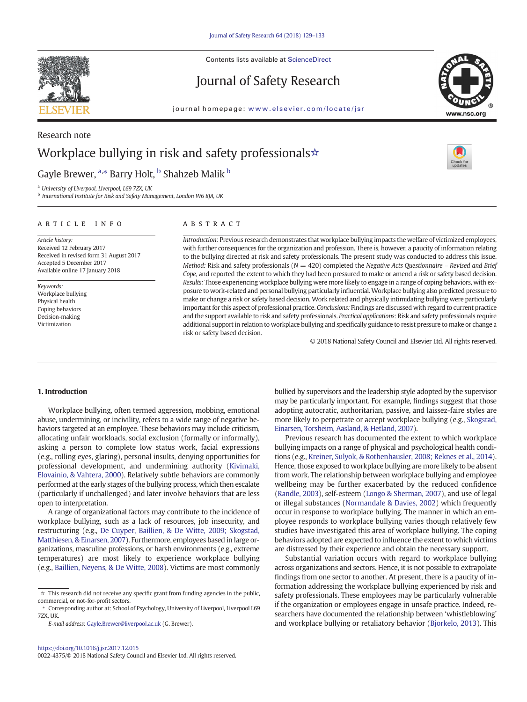

Contents lists available at ScienceDirect

# Journal of Safety Research



journal homepage: <www.elsevier.com/locate/jsr>

## Research note Workplace bullying in risk and safety professionals☆

## Gayle Brewer, <sup>a,\*</sup> Barry Holt, <sup>b</sup> Shahzeb Malik <sup>b</sup>

<sup>a</sup> University of Liverpool, Liverpool, L69 7ZX, UK

**b** International Institute for Risk and Safety Management, London W6 8JA, UK

#### article info abstract

Article history: Received 12 February 2017 Received in revised form 31 August 2017 Accepted 5 December 2017 Available online 17 January 2018

Keywords: Workplace bullying Physical health Coping behaviors Decision-making Victimization

Introduction: Previous research demonstrates that workplace bullying impacts the welfare of victimized employees, with further consequences for the organization and profession. There is, however, a paucity of information relating to the bullying directed at risk and safety professionals. The present study was conducted to address this issue. Method: Risk and safety professionals ( $N = 420$ ) completed the Negative Acts Questionnaire – Revised and Brief Cope, and reported the extent to which they had been pressured to make or amend a risk or safety based decision. Results: Those experiencing workplace bullying were more likely to engage in a range of coping behaviors, with exposure to work-related and personal bullying particularly influential. Workplace bullying also predicted pressure to make or change a risk or safety based decision. Work related and physically intimidating bullying were particularly important for this aspect of professional practice. Conclusions: Findings are discussed with regard to current practice and the support available to risk and safety professionals. Practical applications: Risk and safety professionals require additional support in relation to workplace bullying and specifically guidance to resist pressure to make or change a risk or safety based decision.

© 2018 National Safety Council and Elsevier Ltd. All rights reserved.

#### 1. Introduction

Workplace bullying, often termed aggression, mobbing, emotional abuse, undermining, or incivility, refers to a wide range of negative behaviors targeted at an employee. These behaviors may include criticism, allocating unfair workloads, social exclusion (formally or informally), asking a person to complete low status work, facial expressions (e.g., rolling eyes, glaring), personal insults, denying opportunities for professional development, and undermining authority ([Kivimaki,](#page-3-0) [Elovainio, & Vahtera, 2000\)](#page-3-0). Relatively subtle behaviors are commonly performed at the early stages of the bullying process, which then escalate (particularly if unchallenged) and later involve behaviors that are less open to interpretation.

A range of organizational factors may contribute to the incidence of workplace bullying, such as a lack of resources, job insecurity, and restructuring (e.g., [De Cuyper, Baillien, & De Witte, 2009; Skogstad,](#page-3-0) [Matthiesen, & Einarsen, 2007\)](#page-3-0). Furthermore, employees based in large organizations, masculine professions, or harsh environments (e.g., extreme temperatures) are most likely to experience workplace bullying (e.g., [Baillien, Neyens, & De Witte, 2008\)](#page-3-0). Victims are most commonly

bullied by supervisors and the leadership style adopted by the supervisor may be particularly important. For example, findings suggest that those adopting autocratic, authoritarian, passive, and laissez-faire styles are more likely to perpetrate or accept workplace bullying (e.g., [Skogstad,](#page-4-0) [Einarsen, Torsheim, Aasland, & Hetland, 2007](#page-4-0)).

Previous research has documented the extent to which workplace bullying impacts on a range of physical and psychological health conditions (e.g., [Kreiner, Sulyok, & Rothenhausler, 2008; Reknes et al., 2014](#page-3-0)). Hence, those exposed to workplace bullying are more likely to be absent from work. The relationship between workplace bullying and employee wellbeing may be further exacerbated by the reduced confidence [\(Randle, 2003](#page-4-0)), self-esteem [\(Longo & Sherman, 2007\)](#page-3-0), and use of legal or illegal substances ([Normandale & Davies, 2002\)](#page-4-0) which frequently occur in response to workplace bullying. The manner in which an employee responds to workplace bullying varies though relatively few studies have investigated this area of workplace bullying. The coping behaviors adopted are expected to influence the extent to which victims are distressed by their experience and obtain the necessary support.

Substantial variation occurs with regard to workplace bullying across organizations and sectors. Hence, it is not possible to extrapolate findings from one sector to another. At present, there is a paucity of information addressing the workplace bullying experienced by risk and safety professionals. These employees may be particularly vulnerable if the organization or employees engage in unsafe practice. Indeed, researchers have documented the relationship between 'whistleblowing' and workplace bullying or retaliatory behavior [\(Bjorkelo, 2013\)](#page-3-0). This

 $\star~$  This research did not receive any specific grant from funding agencies in the public, commercial, or not-for-profit sectors.

<sup>⁎</sup> Corresponding author at: School of Psychology, University of Liverpool, Liverpool L69 7ZX, UK.

E-mail address: [Gayle.Brewer@liverpool.ac.uk](mailto:Gayle.Brewer@liverpool.ac.uk) (G. Brewer).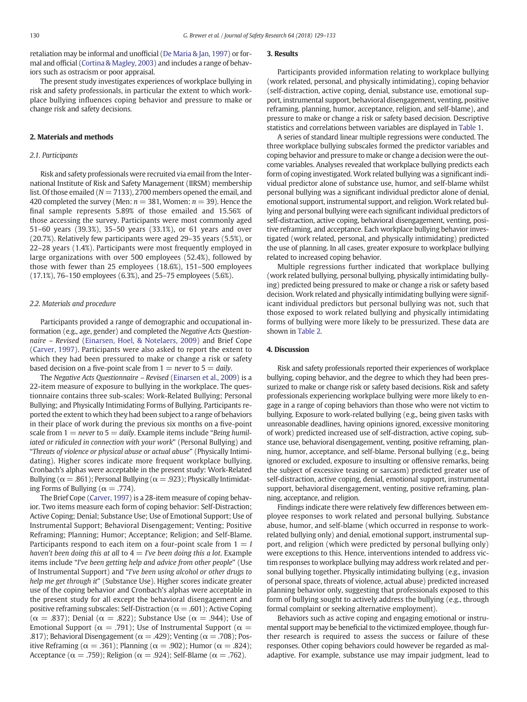retaliation may be informal and unofficial [\(De Maria & Jan, 1997](#page-3-0)) or formal and official [\(Cortina & Magley, 2003\)](#page-3-0) and includes a range of behaviors such as ostracism or poor appraisal.

The present study investigates experiences of workplace bullying in risk and safety professionals, in particular the extent to which workplace bullying influences coping behavior and pressure to make or change risk and safety decisions.

#### 2. Materials and methods

#### 2.1. Participants

Risk and safety professionals were recruited via email from the International Institute of Risk and Safety Management (IIRSM) membership list. Of those emailed ( $N = 7133$ ), 2700 members opened the email, and 420 completed the survey (Men:  $n = 381$ , Women:  $n = 39$ ). Hence the final sample represents 5.89% of those emailed and 15.56% of those accessing the survey. Participants were most commonly aged 51–60 years (39.3%), 35–50 years (33.1%), or 61 years and over (20.7%). Relatively few participants were aged 29–35 years (5.5%), or 22–28 years (1.4%). Participants were most frequently employed in large organizations with over 500 employees (52.4%), followed by those with fewer than 25 employees (18.6%), 151–500 employees (17.1%), 76–150 employees (6.3%), and 25–75 employees (5.6%).

#### 2.2. Materials and procedure

Participants provided a range of demographic and occupational information (e.g., age, gender) and completed the Negative Acts Questionnaire – Revised [\(Einarsen, Hoel, & Notelaers, 2009](#page-3-0)) and Brief Cope [\(Carver, 1997](#page-3-0)). Participants were also asked to report the extent to which they had been pressured to make or change a risk or safety based decision on a five-point scale from  $1 =$  never to  $5 =$  daily.

The Negative Acts Questionnaire – Revised [\(Einarsen et al., 2009](#page-3-0)) is a 22-item measure of exposure to bullying in the workplace. The questionnaire contains three sub-scales: Work-Related Bullying; Personal Bullying; and Physically Intimidating Forms of Bullying. Participants reported the extent to which they had been subject to a range of behaviors in their place of work during the previous six months on a five-point scale from  $1 =$  never to  $5 =$  daily. Example items include "Being humiliated or ridiculed in connection with your work" (Personal Bullying) and "Threats of violence or physical abuse or actual abuse" (Physically Intimidating). Higher scores indicate more frequent workplace bullying. Cronbach's alphas were acceptable in the present study: Work-Related Bullying ( $\alpha = .861$ ); Personal Bullying ( $\alpha = .923$ ); Physically Intimidating Forms of Bullying ( $\alpha = .774$ ).

The Brief Cope ([Carver, 1997\)](#page-3-0) is a 28-item measure of coping behavior. Two items measure each form of coping behavior: Self-Distraction; Active Coping; Denial; Substance Use; Use of Emotional Support; Use of Instrumental Support; Behavioral Disengagement; Venting; Positive Reframing; Planning; Humor; Acceptance; Religion; and Self-Blame. Participants respond to each item on a four-point scale from  $1 = I$ haven't been doing this at all to  $4 =$  I've been doing this a lot. Example items include "I've been getting help and advice from other people" (Use of Instrumental Support) and "I've been using alcohol or other drugs to help me get through it" (Substance Use). Higher scores indicate greater use of the coping behavior and Cronbach's alphas were acceptable in the present study for all except the behavioral disengagement and positive reframing subscales: Self-Distraction ( $\alpha$  = .601); Active Coping ( $\alpha = .837$ ); Denial ( $\alpha = .822$ ); Substance Use ( $\alpha = .944$ ); Use of Emotional Support ( $\alpha = .791$ ); Use of Instrumental Support ( $\alpha =$ .817); Behavioral Disengagement ( $\alpha = .429$ ); Venting ( $\alpha = .708$ ); Positive Reframing ( $\alpha = .361$ ); Planning ( $\alpha = .902$ ); Humor ( $\alpha = .824$ ); Acceptance ( $\alpha = .759$ ); Religion ( $\alpha = .924$ ); Self-Blame ( $\alpha = .762$ ).

#### 3. Results

Participants provided information relating to workplace bullying (work related, personal, and physically intimidating), coping behavior (self-distraction, active coping, denial, substance use, emotional support, instrumental support, behavioral disengagement, venting, positive reframing, planning, humor, acceptance, religion, and self-blame), and pressure to make or change a risk or safety based decision. Descriptive statistics and correlations between variables are displayed in [Table 1](#page-2-0).

A series of standard linear multiple regressions were conducted. The three workplace bullying subscales formed the predictor variables and coping behavior and pressure to make or change a decision were the outcome variables. Analyses revealed that workplace bullying predicts each form of coping investigated. Work related bullying was a significant individual predictor alone of substance use, humor, and self-blame whilst personal bullying was a significant individual predictor alone of denial, emotional support, instrumental support, and religion. Work related bullying and personal bullying were each significant individual predictors of self-distraction, active coping, behavioral disengagement, venting, positive reframing, and acceptance. Each workplace bullying behavior investigated (work related, personal, and physically intimidating) predicted the use of planning. In all cases, greater exposure to workplace bullying related to increased coping behavior.

Multiple regressions further indicated that workplace bullying (work related bullying, personal bullying, physically intimidating bullying) predicted being pressured to make or change a risk or safety based decision. Work related and physically intimidating bullying were significant individual predictors but personal bullying was not, such that those exposed to work related bullying and physically intimidating forms of bullying were more likely to be pressurized. These data are shown in [Table 2](#page-3-0).

### 4. Discussion

Risk and safety professionals reported their experiences of workplace bullying, coping behavior, and the degree to which they had been pressurized to make or change risk or safety based decisions. Risk and safety professionals experiencing workplace bullying were more likely to engage in a range of coping behaviors than those who were not victim to bullying. Exposure to work-related bullying (e.g., being given tasks with unreasonable deadlines, having opinions ignored, excessive monitoring of work) predicted increased use of self-distraction, active coping, substance use, behavioral disengagement, venting, positive reframing, planning, humor, acceptance, and self-blame. Personal bullying (e.g., being ignored or excluded, exposure to insulting or offensive remarks, being the subject of excessive teasing or sarcasm) predicted greater use of self-distraction, active coping, denial, emotional support, instrumental support, behavioral disengagement, venting, positive reframing, planning, acceptance, and religion.

Findings indicate there were relatively few differences between employee responses to work related and personal bullying. Substance abuse, humor, and self-blame (which occurred in response to workrelated bullying only) and denial, emotional support, instrumental support, and religion (which were predicted by personal bullying only) were exceptions to this. Hence, interventions intended to address victim responses to workplace bullying may address work related and personal bullying together. Physically intimidating bullying (e.g., invasion of personal space, threats of violence, actual abuse) predicted increased planning behavior only, suggesting that professionals exposed to this form of bullying sought to actively address the bullying (e.g., through formal complaint or seeking alternative employment).

Behaviors such as active coping and engaging emotional or instrumental support may be beneficial to the victimized employee, though further research is required to assess the success or failure of these responses. Other coping behaviors could however be regarded as maladaptive. For example, substance use may impair judgment, lead to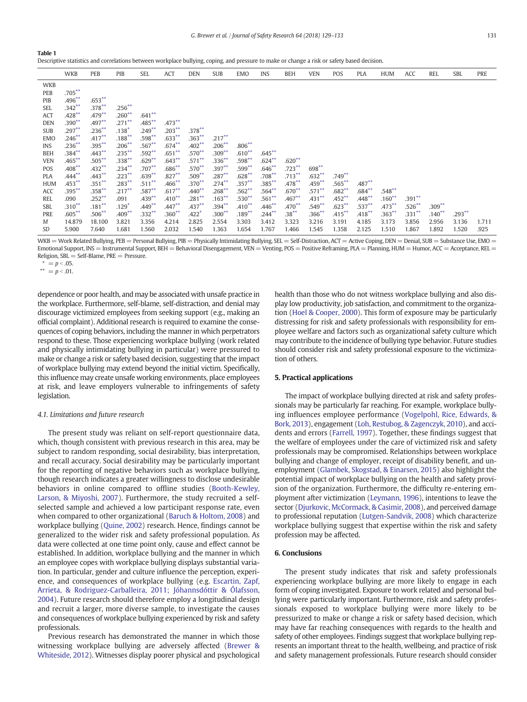<span id="page-2-0"></span>

Descriptive statistics and correlations between workplace bullying, coping, and pressure to make or change a risk or safety based decision.

|            | <b>WKB</b> | PEB       | PIB                 | SEL       | ACT       | DEN       | SUB       | EMO       | INS       | BEH       | <b>VEN</b> | POS       | PLA       | HUM       | ACC       | REL       | SBL       | <b>PRE</b> |
|------------|------------|-----------|---------------------|-----------|-----------|-----------|-----------|-----------|-----------|-----------|------------|-----------|-----------|-----------|-----------|-----------|-----------|------------|
| WKB        | $.705***$  |           |                     |           |           |           |           |           |           |           |            |           |           |           |           |           |           |            |
| PEB        | $.496***$  | $.653***$ |                     |           |           |           |           |           |           |           |            |           |           |           |           |           |           |            |
| PIB        | $.342**$   | $.378***$ | $.256***$           |           |           |           |           |           |           |           |            |           |           |           |           |           |           |            |
| <b>SEL</b> | $.428***$  | $.479***$ | $.260**$            | $.641**$  |           |           |           |           |           |           |            |           |           |           |           |           |           |            |
| ACT        |            | $.497***$ | $.271***$           | $.485***$ | $.473***$ |           |           |           |           |           |            |           |           |           |           |           |           |            |
| <b>DEN</b> | $.390**$   |           |                     |           |           |           |           |           |           |           |            |           |           |           |           |           |           |            |
| <b>SUB</b> | $.297***$  | $.236***$ | $.138*$             | $.249***$ | $.203***$ | $.378***$ |           |           |           |           |            |           |           |           |           |           |           |            |
| <b>EMO</b> | $.246***$  | $.417***$ | $.188***$           | $.598***$ | $.633***$ | $.363***$ | $.217***$ |           |           |           |            |           |           |           |           |           |           |            |
| <b>INS</b> | $.236***$  | $.395***$ | $.206***$           | $.567***$ | $.674***$ | $.402**$  | $.206***$ | $.806***$ |           |           |            |           |           |           |           |           |           |            |
| <b>BEH</b> | $.384***$  | $.443***$ | $.235***$           | $.592**$  | $.651***$ | $.570**$  | $.309***$ | $.610**$  | $.645***$ |           |            |           |           |           |           |           |           |            |
| <b>VEN</b> | $.465***$  | $.505***$ | $.338***$           | $.629**$  | $.643**$  | $.571***$ | $.336***$ | $.598***$ | $.624***$ | $.620**$  |            |           |           |           |           |           |           |            |
| POS        | $.408***$  | $.432***$ | $.234***$           | $.707***$ | $.686***$ | $.570**$  | $.397***$ | $.599***$ | $.646***$ | $.723***$ | 698**      |           |           |           |           |           |           |            |
| PLA        | $.444***$  | $.443***$ | $.223***$           | $.639**$  | $.827***$ | $.509**$  | $.287***$ | $.628***$ | $.708***$ | $.713***$ | $.632**$   | $.749**$  |           |           |           |           |           |            |
| <b>HUM</b> | $.453***$  | $.351***$ | $.283**$            | $.511***$ | $.466***$ | $.370**$  | $.274***$ | $.357***$ | $.385***$ | $.478***$ | $.459***$  | $.565***$ | $.487**$  |           |           |           |           |            |
| ACC        | $.395***$  | $.358***$ | $.217***$           | $.587**$  | $.617***$ | $.440**$  | $.268***$ | $.562***$ | $.564***$ | $.670**$  | $.571***$  | $.682**$  | $.684***$ | $.548***$ |           |           |           |            |
| REL        | .090       | $.252***$ | .091                | $.439***$ | $.410**$  | $.281***$ | $.163***$ | $.530**$  | $.561***$ | $.467**$  | $.431***$  | $.452***$ | $.448***$ | $.160**$  | $.391***$ |           |           |            |
| SBL        | $.310***$  | $.181***$ | $.129$ <sup>*</sup> | $.449***$ | $.447***$ | $.437***$ | $.394***$ | $.410**$  | $.446***$ | $.470***$ | $.549**$   | $.623***$ | $.537***$ | $.473***$ | $.526***$ | $.309***$ |           |            |
| PRE        | $.605***$  | $.506***$ | $.409***$           | $.332***$ | $.360**$  | $.422*$   | $.300**$  | $.189***$ | $.244***$ | $.38***$  | $.366***$  | $.415***$ | $.418***$ | $.363***$ | $.331***$ | $.140**$  | $.293***$ |            |
| М          | 14.879     | 18.100    | 3.821               | 3.356     | 4.214     | 2.825     | 2.554     | 3.303     | 3.412     | 3.323     | 3.216      | 3.191     | 4.185     | 3.173     | 3.856     | 2.956     | 3.136     | 1.711      |
| SD         | 5.900      | 7.640     | 1.681               | 1.560     | 2.032     | 1.540     | 1.363     | 1.654     | 1.767     | 1.466     | 1.545      | 1.358     | 2.125     | 1.510     | 1.867     | 1.892     | 1.520     | .925       |

 $WKB = Work$  Related Bullying, PEB = Personal Bullying, PIB = Physically Intimidating Bullying, SEL = Self-Distraction, ACT = Active Coping, DEN = Denial, SUB = Substance Use, EMO = Emotional Support, INS = Instrumental Support, BEH = Behavioral Disengagement, VEN = Venting, POS = Positive Reframing, PLA = Planning, HUM = Humor, ACC = Acceptance, REL =  $Religion. SBL = Self-Blame. PRE = Pressure.$ 

 $p < .05$ .

\*\* =  $p < .01$ .

dependence or poor health, and may be associated with unsafe practice in the workplace. Furthermore, self-blame, self-distraction, and denial may discourage victimized employees from seeking support (e.g., making an official complaint). Additional research is required to examine the consequences of coping behaviors, including the manner in which perpetrators respond to these. Those experiencing workplace bullying (work related and physically intimidating bullying in particular) were pressured to make or change a risk or safety based decision, suggesting that the impact of workplace bullying may extend beyond the initial victim. Specifically, this influence may create unsafe working environments, place employees at risk, and leave employers vulnerable to infringements of safety legislation.

#### 4.1. Limitations and future research

The present study was reliant on self-report questionnaire data, which, though consistent with previous research in this area, may be subject to random responding, social desirability, bias interpretation, and recall accuracy. Social desirability may be particularly important for the reporting of negative behaviors such as workplace bullying, though research indicates a greater willingness to disclose undesirable behaviors in online compared to offline studies ([Booth-Kewley,](#page-3-0) [Larson, & Miyoshi, 2007\)](#page-3-0). Furthermore, the study recruited a selfselected sample and achieved a low participant response rate, even when compared to other organizational ([Baruch & Holtom, 2008\)](#page-3-0) and workplace bullying [\(Quine, 2002\)](#page-4-0) research. Hence, findings cannot be generalized to the wider risk and safety professional population. As data were collected at one time point only, cause and effect cannot be established. In addition, workplace bullying and the manner in which an employee copes with workplace bullying displays substantial variation. In particular, gender and culture influence the perception, experience, and consequences of workplace bullying (e.g. [Escartin, Zapf,](#page-3-0) [Arrieta, & Rodriguez-Carballeira, 2011; Jóhannsdóttir & Ólafsson,](#page-3-0) [2004\)](#page-3-0). Future research should therefore employ a longitudinal design and recruit a larger, more diverse sample, to investigate the causes and consequences of workplace bullying experienced by risk and safety professionals.

Previous research has demonstrated the manner in which those witnessing workplace bullying are adversely affected ([Brewer &](#page-3-0) [Whiteside, 2012](#page-3-0)). Witnesses display poorer physical and psychological health than those who do not witness workplace bullying and also display low productivity, job satisfaction, and commitment to the organization [\(Hoel & Cooper, 2000](#page-3-0)). This form of exposure may be particularly distressing for risk and safety professionals with responsibility for employee welfare and factors such as organizational safety culture which may contribute to the incidence of bullying type behavior. Future studies should consider risk and safety professional exposure to the victimization of others.

### 5. Practical applications

The impact of workplace bullying directed at risk and safety professionals may be particularly far reaching. For example, workplace bullying influences employee performance ([Vogelpohl, Rice, Edwards, &](#page-4-0) [Bork, 2013](#page-4-0)), engagement [\(Loh, Restubog, & Zagenczyk, 2010\)](#page-3-0), and accidents and errors ([Farrell, 1997](#page-3-0)). Together, these findings suggest that the welfare of employees under the care of victimized risk and safety professionals may be compromised. Relationships between workplace bullying and change of employer, receipt of disability benefit, and unemployment ([Glambek, Skogstad, & Einarsen, 2015\)](#page-3-0) also highlight the potential impact of workplace bullying on the health and safety provision of the organization. Furthermore, the difficulty re-entering employment after victimization ([Leymann, 1996](#page-3-0)), intentions to leave the sector [\(Djurkovic, McCormack, & Casimir, 2008](#page-3-0)), and perceived damage to professional reputation [\(Lutgen-Sandvik, 2008\)](#page-4-0) which characterize workplace bullying suggest that expertise within the risk and safety profession may be affected.

#### 6. Conclusions

The present study indicates that risk and safety professionals experiencing workplace bullying are more likely to engage in each form of coping investigated. Exposure to work related and personal bullying were particularly important. Furthermore, risk and safety professionals exposed to workplace bullying were more likely to be pressurized to make or change a risk or safety based decision, which may have far reaching consequences with regards to the health and safety of other employees. Findings suggest that workplace bullying represents an important threat to the health, wellbeing, and practice of risk and safety management professionals. Future research should consider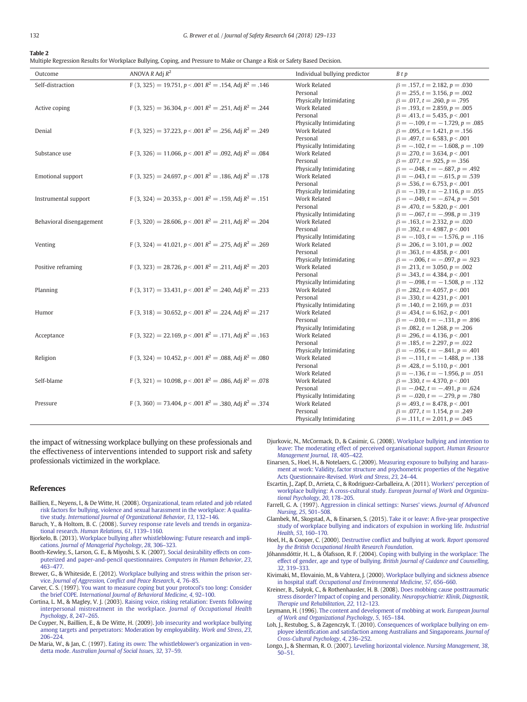#### <span id="page-3-0"></span>Table 2

Multiple Regression Results for Workplace Bullying, Coping, and Pressure to Make or Change a Risk or Safety Based Decision.

| Outcome                  | ANOVA R Adj $R^2$                                             | Individual bullying predictor       | B t p                                                                                    |
|--------------------------|---------------------------------------------------------------|-------------------------------------|------------------------------------------------------------------------------------------|
| Self-distraction         | F (3, 325) = 19.751, $p < .001 R^2 = .154$ , Adj $R^2 = .146$ | <b>Work Related</b>                 | $\beta = .157$ , $t = 2.182$ , $p = .030$                                                |
|                          |                                                               | Personal                            | $\beta = .255, t = 3.156, p = .002$                                                      |
|                          |                                                               | Physically Intimidating             | $\beta = .017$ , $t = .260$ , $p = .795$                                                 |
| Active coping            | F (3, 325) = 36.304, $p < .001 R^2 = .251$ , Adj $R^2 = .244$ | Work Related                        | $\beta = .193$ , $t = 2.859$ , $p = .005$                                                |
|                          |                                                               | Personal                            | $\beta = .413$ , $t = 5.435$ , $p < .001$                                                |
|                          |                                                               | Physically Intimidating             | $\beta = -.109$ , $t = -1.729$ , $p = .085$                                              |
| Denial                   | F (3, 325) = 37.223, $p < .001 R^2 = .256$ , Adj $R^2 = .249$ | <b>Work Related</b>                 | $\beta = .095$ , $t = 1.421$ , $p = .156$                                                |
|                          |                                                               | Personal                            | $\beta = .497, t = 6.583, p < .001$                                                      |
|                          |                                                               | Physically Intimidating             | $\beta = -.102, t = -1.608, p = .109$                                                    |
| Substance use            | F (3, 326) = 11.066, $p < .001 R^2 = .092$ , Adj $R^2 = .084$ | <b>Work Related</b>                 | $\beta = .270$ , $t = 3.634$ , $p < .001$                                                |
|                          |                                                               | Personal                            | $\beta = .077$ , $t = .925$ , $p = .356$                                                 |
|                          |                                                               | Physically Intimidating             | $\beta = -.048$ , $t = -.687$ , $p = .492$                                               |
| Emotional support        | F (3, 325) = 24.697, $p < .001 R^2 = .186$ , Adj $R^2 = .178$ | <b>Work Related</b>                 | $\beta = -.043$ , $t = -.615$ , $p = .539$                                               |
|                          |                                                               | Personal<br>Physically Intimidating | $\beta = .536$ , $t = 6.753$ , $p < .001$<br>$\beta = -.139$ , $t = -2.116$ , $p = .055$ |
| Instrumental support     | F (3, 324) = 20.353, $p < .001 R^2 = .159$ , Adj $R^2 = .151$ | <b>Work Related</b>                 | $\beta = -.049$ , $t = -.674$ , $p = .501$                                               |
|                          |                                                               | Personal                            | $\beta = .470$ , $t = 5.820$ , $p < .001$                                                |
|                          |                                                               | Physically Intimidating             | $\beta = -.067$ , $t = -.998$ , $p = .319$                                               |
| Behavioral disengagement | F (3, 320) = 28.606, $p < .001 R^2 = .211$ , Adj $R^2 = .204$ | <b>Work Related</b>                 | $\beta = .163$ , $t = 2.332$ , $p = .020$                                                |
|                          |                                                               | Personal                            | $\beta = .392$ , $t = 4.987$ , $p < .001$                                                |
|                          |                                                               | Physically Intimidating             | $\beta = -.103$ , $t = -1.576$ , $p = .116$                                              |
| Venting                  | F (3, 324) = 41.021, $p < .001 R^2 = .275$ , Adj $R^2 = .269$ | Work Related                        | $\beta = .206, t = 3.101, p = .002$                                                      |
|                          |                                                               | Personal                            | $\beta = .363$ , $t = 4.858$ , $p < .001$                                                |
|                          |                                                               | Physically Intimidating             | $\beta = -.006, t = -.097, p = .923$                                                     |
| Positive reframing       | F (3, 323) = 28.726, $p < .001 R^2 = .211$ , Adj $R^2 = .203$ | <b>Work Related</b>                 | $\beta = .213$ , $t = 3.050$ , $p = .002$                                                |
|                          |                                                               | Personal                            | $\beta = .343$ , $t = 4.384$ , $p < .001$                                                |
|                          |                                                               | Physically Intimidating             | $\beta = -.098, t = -1.508, p = .132$                                                    |
| Planning                 | F (3, 317) = 33.431, $p < .001 R^2 = .240$ , Adj $R^2 = .233$ | <b>Work Related</b>                 | $\beta = .282$ , $t = 4.057$ , $p < .001$                                                |
|                          |                                                               | Personal                            | $\beta = .330$ , $t = 4.231$ , $p < .001$                                                |
|                          |                                                               | Physically Intimidating             | $\beta = .140$ , $t = 2.169$ , $p = .031$                                                |
| Humor                    | F (3, 318) = 30.652, $p < .001 R^2 = .224$ , Adj $R^2 = .217$ | <b>Work Related</b>                 | $\beta = .434$ , $t = 6.162$ , $p < .001$                                                |
|                          |                                                               | Personal                            | $\beta = -.010$ , $t = -.131$ , $p = .896$                                               |
|                          |                                                               | Physically Intimidating             | $\beta = .082$ , $t = 1.268$ , $p = .206$                                                |
| Acceptance               | F (3, 322) = 22.169, $p < .001 R^2 = .171$ , Adj $R^2 = .163$ | <b>Work Related</b>                 | $\beta = .296$ , $t = 4.136$ , $p < .001$                                                |
|                          |                                                               | Personal                            | $\beta = .185, t = 2.297, p = .022$                                                      |
|                          |                                                               | Physically Intimidating             | $\beta = -.056, t = -.841, p = .401$                                                     |
| Religion                 | F (3, 324) = 10.452, $p < .001 R^2 = .088$ , Adj $R^2 = .080$ | <b>Work Related</b>                 | $\beta = -.111, t = -1.488, p = .138$                                                    |
|                          |                                                               | Personal<br><b>Work Related</b>     | $\beta = .428$ , $t = 5.110$ , $p < .001$<br>$\beta = -.136, t = -1.956, p = .051$       |
| Self-blame               | F (3, 321) = 10.098, $p < .001 R^2 = .086$ , Adj $R^2 = .078$ | Work Related                        |                                                                                          |
|                          |                                                               | Personal                            | $\beta = .330$ , $t = 4.370$ , $p < .001$<br>$\beta = -.042$ , $t = -.491$ , $p = .624$  |
|                          |                                                               | Physically Intimidating             | $\beta = -.020, t = -.279, p = .780$                                                     |
| Pressure                 | F (3, 360) = 73.404, $p < .001 R^2 = .380$ , Adj $R^2 = .374$ | Work Related                        | $\beta = .493$ , $t = 8.478$ , $p < .001$                                                |
|                          |                                                               | Personal                            | $\beta = .077, t = 1.154, p = .249$                                                      |
|                          |                                                               | Physically Intimidating             | $\beta = .111, t = 2.011, p = .045$                                                      |

the impact of witnessing workplace bullying on these professionals and the effectiveness of interventions intended to support risk and safety professionals victimized in the workplace.

#### **References**

- Baillien, E., Neyens, I., & De Witte, H. (2008). [Organizational, team related and job related](http://refhub.elsevier.com/S0022-4375(17)30115-9/rf0005) [risk factors for bullying, violence and sexual harassment in the workplace: A qualita](http://refhub.elsevier.com/S0022-4375(17)30115-9/rf0005)tive study. [International Journal of Organizational Behavior](http://refhub.elsevier.com/S0022-4375(17)30115-9/rf0005), 13, 132–146.
- Baruch, Y., & Holtom, B. C. (2008). [Survey response rate levels and trends in organiza](http://refhub.elsevier.com/S0022-4375(17)30115-9/rf0010)tional research. [Human Relations](http://refhub.elsevier.com/S0022-4375(17)30115-9/rf0010), 61, 1139–1160.
- Bjorkelo, B. (2013). [Workplace bullying after whistleblowing: Future research and impli](http://refhub.elsevier.com/S0022-4375(17)30115-9/rf0015)cations. [Journal of Managerial Psychology](http://refhub.elsevier.com/S0022-4375(17)30115-9/rf0015), 28, 306–323.
- Booth-Kewley, S., Larson, G. E., & Miyoshi, S. K. (2007). [Social desirability effects on com](http://refhub.elsevier.com/S0022-4375(17)30115-9/rf0020)[puterized and paper-and-pencil questionnaires.](http://refhub.elsevier.com/S0022-4375(17)30115-9/rf0020) Computers in Human Behavior, 23, 463–[477.](http://refhub.elsevier.com/S0022-4375(17)30115-9/rf0020)
- Brewer, G., & Whiteside, E. (2012). [Workplace bullying and stress within the prison ser](http://refhub.elsevier.com/S0022-4375(17)30115-9/rf0025)vice. [Journal of Aggression, Con](http://refhub.elsevier.com/S0022-4375(17)30115-9/rf0025)flict and Peace Research, 4, 76–85.
- Carver, C. S. (1997). [You want to measure coping but your protocol's too long: Consider](http://refhub.elsevier.com/S0022-4375(17)30115-9/rf0030) the brief COPE. [International Journal of Behavioral Medicine](http://refhub.elsevier.com/S0022-4375(17)30115-9/rf0030), 4, 92–100.
- Cortina, L. M., & Magley, V. J. (2003). [Raising voice, risking retaliation: Events following](http://refhub.elsevier.com/S0022-4375(17)30115-9/rf0035) [interpersonal mistreatment in the workplace.](http://refhub.elsevier.com/S0022-4375(17)30115-9/rf0035) Journal of Occupational Health [Psychology](http://refhub.elsevier.com/S0022-4375(17)30115-9/rf0035), 8, 247–265.
- De Cuyper, N., Baillien, E., & De Witte, H. (2009). [Job insecurity and workplace bullying](http://refhub.elsevier.com/S0022-4375(17)30115-9/rf0040) [among targets and perpetrators: Moderation by employability.](http://refhub.elsevier.com/S0022-4375(17)30115-9/rf0040) Work and Stress, 23, 206–[224.](http://refhub.elsevier.com/S0022-4375(17)30115-9/rf0040)
- De Maria, W., & Jan, C. (1997). [Eating its own: The whistleblower's organization in ven](http://refhub.elsevier.com/S0022-4375(17)30115-9/rf0045)detta mode. [Australian Journal of Social Issues](http://refhub.elsevier.com/S0022-4375(17)30115-9/rf0045), 32, 37–59.
- Djurkovic, N., McCormack, D., & Casimir, G. (2008). [Workplace bullying and intention to](http://refhub.elsevier.com/S0022-4375(17)30115-9/rf0050) [leave: The moderating effect of perceived organisational support.](http://refhub.elsevier.com/S0022-4375(17)30115-9/rf0050) Human Resource [Management Journal](http://refhub.elsevier.com/S0022-4375(17)30115-9/rf0050), 18, 405–422.
- Einarsen, S., Hoel, H., & Notelaers, G. (2009). [Measuring exposure to bullying and harass](http://refhub.elsevier.com/S0022-4375(17)30115-9/rf0055)[ment at work: Validity, factor structure and psychometric properties of the Negative](http://refhub.elsevier.com/S0022-4375(17)30115-9/rf0055) [Acts Questionnaire-Revised.](http://refhub.elsevier.com/S0022-4375(17)30115-9/rf0055) Work and Stress, 23, 24–44.
- Escartin, J., Zapf, D., Arrieta, C., & Rodriguez-Carballeira, A. (2011). [Workers' perception of](http://refhub.elsevier.com/S0022-4375(17)30115-9/rf0060) [workplace bullying: A cross-cultural study.](http://refhub.elsevier.com/S0022-4375(17)30115-9/rf0060) European Journal of Work and Organiza[tional Psychology](http://refhub.elsevier.com/S0022-4375(17)30115-9/rf0060), 20, 178–205.
- Farrell, G. A. (1997). [Aggression in clinical settings: Nurses' views.](http://refhub.elsevier.com/S0022-4375(17)30115-9/rf0065) Journal of Advanced [Nursing](http://refhub.elsevier.com/S0022-4375(17)30115-9/rf0065), 25, 501–508.
- Glambek, M., Skogstad, A., & Einarsen, S. (2015). Take it or leave: A fi[ve-year prospective](http://refhub.elsevier.com/S0022-4375(17)30115-9/rf0070) [study of workplace bullying and indicators of expulsion in working life.](http://refhub.elsevier.com/S0022-4375(17)30115-9/rf0070) Industrial [Health](http://refhub.elsevier.com/S0022-4375(17)30115-9/rf0070), 53, 160–170.
- Hoel, H., & Cooper, C. (2000). Destructive confl[ict and bullying at work.](http://refhub.elsevier.com/S0022-4375(17)30115-9/rf0075) Report sponsored [by the British Occupational Health Research Foundation](http://refhub.elsevier.com/S0022-4375(17)30115-9/rf0075).
- Jóhannsdóttir, H. L., & Ólafsson, R. F. (2004). [Coping with bullying in the workplace: The](http://refhub.elsevier.com/S0022-4375(17)30115-9/rf0080) effect of gender, age and type of bullying. [British Journal of Guidance and Counselling](http://refhub.elsevier.com/S0022-4375(17)30115-9/rf0080), 32[, 319](http://refhub.elsevier.com/S0022-4375(17)30115-9/rf0080)–333.
- Kivimaki, M., Elovainio, M., & Vahtera, J. (2000). [Workplace bullying and sickness absence](http://refhub.elsevier.com/S0022-4375(17)30115-9/rf0085) in hospital staff. [Occupational and Environmental Medicine](http://refhub.elsevier.com/S0022-4375(17)30115-9/rf0085), 57, 656–660.
- Kreiner, B., Sulyok, C., & Rothenhausler, H. B. (2008). [Does mobbing cause posttraumatic](http://refhub.elsevier.com/S0022-4375(17)30115-9/rf0090) [stress disorder? Impact of coping and personality.](http://refhub.elsevier.com/S0022-4375(17)30115-9/rf0090) Neuropsychiatrie: Klinik, Diagnostik, [Therapie und Rehabilitation](http://refhub.elsevier.com/S0022-4375(17)30115-9/rf0090), 22, 112–123.
- Leymann, H. (1996). [The content and development of mobbing at work.](http://refhub.elsevier.com/S0022-4375(17)30115-9/rf0095) European Journal [of Work and Organizational Psychology](http://refhub.elsevier.com/S0022-4375(17)30115-9/rf0095), 5, 165–184.
- Loh, J., Restubog, S., & Zagenczyk, T. (2010). [Consequences of workplace bullying on em](http://refhub.elsevier.com/S0022-4375(17)30115-9/rf0100)ployee identifi[cation and satisfaction among Australians and Singaporeans.](http://refhub.elsevier.com/S0022-4375(17)30115-9/rf0100) Journal of [Cross-Cultural Psychology](http://refhub.elsevier.com/S0022-4375(17)30115-9/rf0100), 4, 236–252.
- Longo, J., & Sherman, R. O. (2007). [Leveling horizontal violence.](http://refhub.elsevier.com/S0022-4375(17)30115-9/rf0105) Nursing Management, 38, 50–[51.](http://refhub.elsevier.com/S0022-4375(17)30115-9/rf0105)